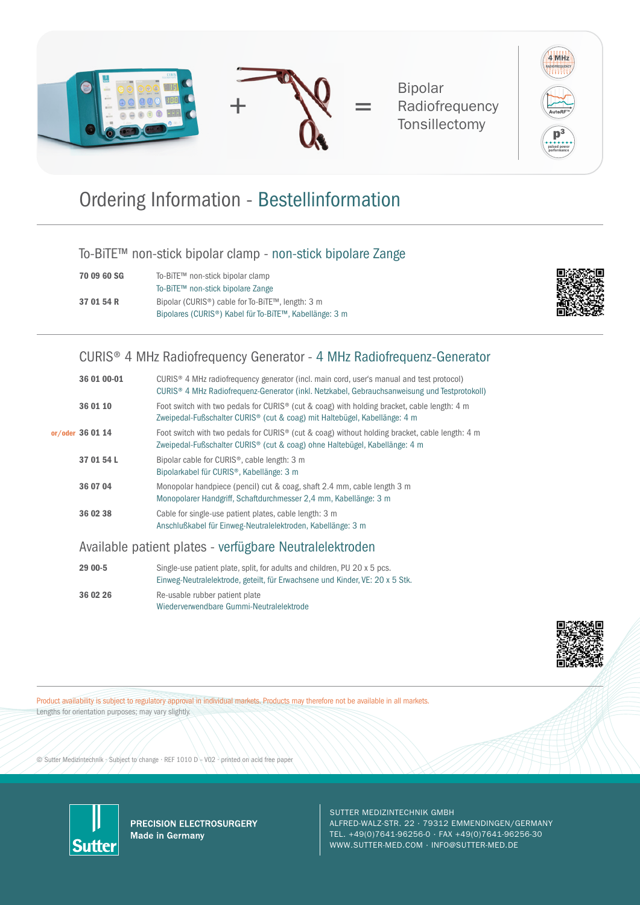

Bipolar **Radiofrequency Tonsillectomy** 



## Ordering Information - Bestellinformation

#### To-BiTE™ non-stick bipolar clamp - non-stick bipolare Zange

| 70 09 60 SG | To-BiTE™ non-stick bipolar clamp                                    |
|-------------|---------------------------------------------------------------------|
|             | To-BiTE™ non-stick bipolare Zange                                   |
| 37 01 54 R  | Bipolar (CURIS <sup>®</sup> ) cable for To-BiTE™, length: 3 m       |
|             | Bipolares (CURIS <sup>®</sup> ) Kabel für To-BiTE™, Kabellänge: 3 m |



#### CURIS® 4 MHz Radiofrequency Generator - 4 MHz Radiofrequenz-Generator

| 36 01 00-01      | CURIS <sup>®</sup> 4 MHz radiofrequency generator (incl. main cord, user's manual and test protocol)<br>CURIS <sup>®</sup> 4 MHz Radiofrequenz-Generator (inkl. Netzkabel, Gebrauchsanweisung und Testprotokoll) |
|------------------|------------------------------------------------------------------------------------------------------------------------------------------------------------------------------------------------------------------|
| 36 01 10         | Foot switch with two pedals for CURIS <sup>®</sup> (cut & coag) with holding bracket, cable length: 4 m<br>Zweipedal-Fußschalter CURIS <sup>®</sup> (cut & coag) mit Haltebügel, Kabellänge: 4 m                 |
| or/oder 36 01 14 | Foot switch with two pedals for CURIS <sup>®</sup> (cut & coag) without holding bracket, cable length: 4 m<br>Zweipedal-Fußschalter CURIS <sup>®</sup> (cut & coag) ohne Haltebügel, Kabellänge: 4 m             |
| 37 01 54 L       | Bipolar cable for CURIS <sup>®</sup> , cable length: 3 m<br>Bipolarkabel für CURIS <sup>®</sup> , Kabellänge: 3 m                                                                                                |
| 36 07 04         | Monopolar handpiece (pencil) cut & coag, shaft 2.4 mm, cable length 3 m<br>Monopolarer Handgriff, Schaftdurchmesser 2,4 mm, Kabellänge: 3 m                                                                      |
| 36 02 38         | Cable for single-use patient plates, cable length: 3 m<br>Anschlußkabel für Einweg-Neutralelektroden, Kabellänge: 3 m                                                                                            |

#### Available patient plates - verfügbare Neutralelektroden

| 29 00-5  | Single-use patient plate, split, for adults and children, PU 20 x 5 pcs.<br>Einweg-Neutralelektrode, geteilt, für Erwachsene und Kinder, VE: 20 x 5 Stk. |
|----------|----------------------------------------------------------------------------------------------------------------------------------------------------------|
| 36 02 26 | Re-usable rubber patient plate<br>Wiederverwendbare Gummi-Neutralelektrode                                                                               |



Product availability is subject to regulatory approval in individual markets. Products may therefore not be available in all markets. Lengths for orientation purposes; may vary slightly.

© Sutter Medizintechnik · Subject to change · REF 1010 D – V02 · printed on acid free paper



PRECISION ELECTROSURGERY **Made in Germany** 

SUTTER MEDIZINTECHNIK GMBH

ALFRED-WALZ-STR. 22 · 79312 EMMENDINGEN/GERMANY TEL. +49(0)7641-96256-0 · FAX +49(0)7641-96256-30 WWW.SUTTER-MED.COM · INFO@SUTTER-MED.DE